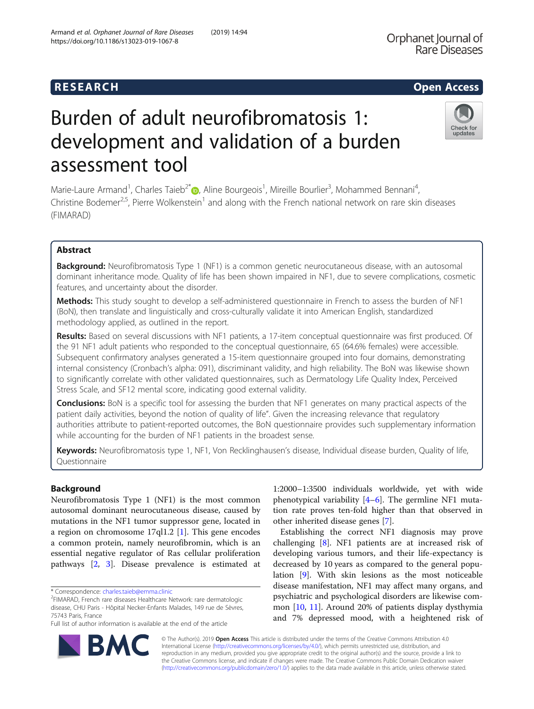# **RESEARCH CHILD CONTROL** CONTROL CONTROL CONTROL CONTROL CONTROL CONTROL CONTROL CONTROL CONTROL CONTROL CONTROL CONTROL CONTROL CONTROL CONTROL CONTROL CONTROL CONTROL CONTROL CONTROL CONTROL CONTROL CONTROL CONTROL CONTR

# Burden of adult neurofibromatosis 1: development and validation of a burden assessment tool

Marie-Laure Armand<sup>1</sup>, Charles Taieb<sup>2[\\*](http://orcid.org/0000-0002-5142-2479)</sup> D, Aline Bourgeois<sup>1</sup>, Mireille Bourlier<sup>3</sup>, Mohammed Bennani<sup>4</sup> , Christine Bodemer<sup>2,5</sup>, Pierre Wolkenstein<sup>1</sup> and along with the French national network on rare skin diseases (FIMARAD)

# Abstract

**Background:** Neurofibromatosis Type 1 (NF1) is a common genetic neurocutaneous disease, with an autosomal dominant inheritance mode. Quality of life has been shown impaired in NF1, due to severe complications, cosmetic features, and uncertainty about the disorder.

Methods: This study sought to develop a self-administered questionnaire in French to assess the burden of NF1 (BoN), then translate and linguistically and cross-culturally validate it into American English, standardized methodology applied, as outlined in the report.

Results: Based on several discussions with NF1 patients, a 17-item conceptual questionnaire was first produced. Of the 91 NF1 adult patients who responded to the conceptual questionnaire, 65 (64.6% females) were accessible. Subsequent confirmatory analyses generated a 15-item questionnaire grouped into four domains, demonstrating internal consistency (Cronbach's alpha: 091), discriminant validity, and high reliability. The BoN was likewise shown to significantly correlate with other validated questionnaires, such as Dermatology Life Quality Index, Perceived Stress Scale, and SF12 mental score, indicating good external validity.

**Conclusions:** BoN is a specific tool for assessing the burden that NF1 generates on many practical aspects of the patient daily activities, beyond the notion of quality of life". Given the increasing relevance that regulatory authorities attribute to patient-reported outcomes, the BoN questionnaire provides such supplementary information while accounting for the burden of NF1 patients in the broadest sense.

Keywords: Neurofibromatosis type 1, NF1, Von Recklinghausen's disease, Individual disease burden, Quality of life, Questionnaire

# Background

Neurofibromatosis Type 1 (NF1) is the most common autosomal dominant neurocutaneous disease, caused by mutations in the NF1 tumor suppressor gene, located in a region on chromosome 17ql1.2 [\[1](#page-7-0)]. This gene encodes a common protein, namely neurofibromin, which is an essential negative regulator of Ras cellular proliferation pathways [\[2](#page-7-0), [3](#page-7-0)]. Disease prevalence is estimated at

1:2000–1:3500 individuals worldwide, yet with wide phenotypical variability  $[4-6]$  $[4-6]$  $[4-6]$  $[4-6]$  $[4-6]$ . The germline NF1 mutation rate proves ten-fold higher than that observed in other inherited disease genes [\[7](#page-7-0)].

Establishing the correct NF1 diagnosis may prove challenging [[8\]](#page-7-0). NF1 patients are at increased risk of developing various tumors, and their life-expectancy is decreased by 10 years as compared to the general population [\[9](#page-7-0)]. With skin lesions as the most noticeable disease manifestation, NF1 may affect many organs, and psychiatric and psychological disorders are likewise common [[10,](#page-7-0) [11](#page-7-0)]. Around 20% of patients display dysthymia and 7% depressed mood, with a heightened risk of

© The Author(s). 2019 **Open Access** This article is distributed under the terms of the Creative Commons Attribution 4.0 International License [\(http://creativecommons.org/licenses/by/4.0/](http://creativecommons.org/licenses/by/4.0/)), which permits unrestricted use, distribution, and reproduction in any medium, provided you give appropriate credit to the original author(s) and the source, provide a link to the Creative Commons license, and indicate if changes were made. The Creative Commons Public Domain Dedication waiver [\(http://creativecommons.org/publicdomain/zero/1.0/](http://creativecommons.org/publicdomain/zero/1.0/)) applies to the data made available in this article, unless otherwise stated.

Armand et al. Orphanet Journal of Rare Diseases (2019) 14:94





<sup>\*</sup> Correspondence: [charles.taieb@emma.clinic](mailto:charles.taieb@emma.clinic) <sup>2</sup>

<sup>&</sup>lt;sup>2</sup>FIMARAD, French rare diseases Healthcare Network: rare dermatologic disease, CHU Paris - Hôpital Necker-Enfants Malades, 149 rue de Sèvres, 75743 Paris, France

Full list of author information is available at the end of the article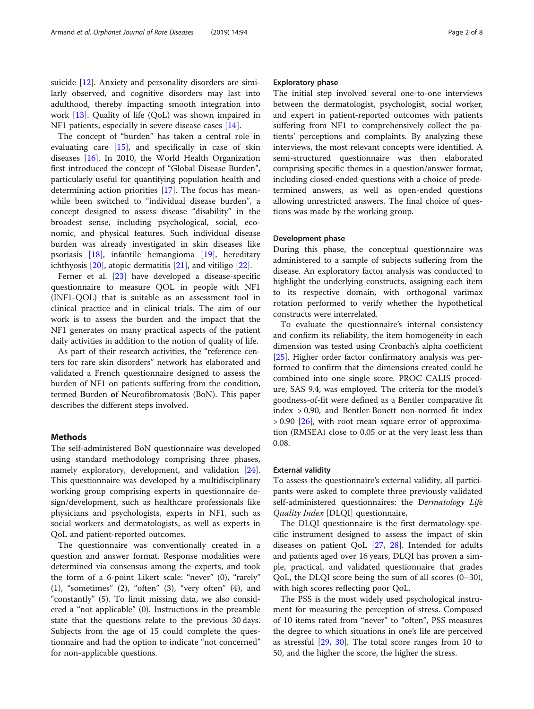suicide [[12\]](#page-7-0). Anxiety and personality disorders are similarly observed, and cognitive disorders may last into adulthood, thereby impacting smooth integration into work [\[13](#page-7-0)]. Quality of life (QoL) was shown impaired in NF1 patients, especially in severe disease cases [\[14\]](#page-7-0).

The concept of "burden" has taken a central role in evaluating care [\[15](#page-7-0)], and specifically in case of skin diseases [[16\]](#page-7-0). In 2010, the World Health Organization first introduced the concept of "Global Disease Burden", particularly useful for quantifying population health and determining action priorities [[17\]](#page-7-0). The focus has meanwhile been switched to "individual disease burden", a concept designed to assess disease "disability" in the broadest sense, including psychological, social, economic, and physical features. Such individual disease burden was already investigated in skin diseases like psoriasis [[18\]](#page-7-0), infantile hemangioma [\[19\]](#page-7-0), hereditary ichthyosis [\[20](#page-7-0)], atopic dermatitis [\[21](#page-7-0)], and vitiligo [\[22\]](#page-7-0).

Ferner et al. [\[23](#page-7-0)] have developed a disease-specific questionnaire to measure QOL in people with NF1 (INF1-QOL) that is suitable as an assessment tool in clinical practice and in clinical trials. The aim of our work is to assess the burden and the impact that the NF1 generates on many practical aspects of the patient daily activities in addition to the notion of quality of life.

As part of their research activities, the "reference centers for rare skin disorders" network has elaborated and validated a French questionnaire designed to assess the burden of NF1 on patients suffering from the condition, termed Burden of Neurofibromatosis (BoN). This paper describes the different steps involved.

# **Methods**

The self-administered BoN questionnaire was developed using standard methodology comprising three phases, namely exploratory, development, and validation [\[24](#page-7-0)]. This questionnaire was developed by a multidisciplinary working group comprising experts in questionnaire design/development, such as healthcare professionals like physicians and psychologists, experts in NF1, such as social workers and dermatologists, as well as experts in QoL and patient-reported outcomes.

The questionnaire was conventionally created in a question and answer format. Response modalities were determined via consensus among the experts, and took the form of a 6-point Likert scale: "never" (0), "rarely" (1), "sometimes" (2), "often" (3), "very often" (4), and "constantly" (5). To limit missing data, we also considered a "not applicable" (0). Instructions in the preamble state that the questions relate to the previous 30 days. Subjects from the age of 15 could complete the questionnaire and had the option to indicate "not concerned" for non-applicable questions.

# Exploratory phase

The initial step involved several one-to-one interviews between the dermatologist, psychologist, social worker, and expert in patient-reported outcomes with patients suffering from NF1 to comprehensively collect the patients' perceptions and complaints. By analyzing these interviews, the most relevant concepts were identified. A semi-structured questionnaire was then elaborated comprising specific themes in a question/answer format, including closed-ended questions with a choice of predetermined answers, as well as open-ended questions allowing unrestricted answers. The final choice of questions was made by the working group.

# Development phase

During this phase, the conceptual questionnaire was administered to a sample of subjects suffering from the disease. An exploratory factor analysis was conducted to highlight the underlying constructs, assigning each item to its respective domain, with orthogonal varimax rotation performed to verify whether the hypothetical constructs were interrelated.

To evaluate the questionnaire's internal consistency and confirm its reliability, the item homogeneity in each dimension was tested using Cronbach's alpha coefficient [[25\]](#page-7-0). Higher order factor confirmatory analysis was performed to confirm that the dimensions created could be combined into one single score. PROC CALIS procedure, SAS 9.4, was employed. The criteria for the model's goodness-of-fit were defined as a Bentler comparative fit index > 0.90, and Bentler-Bonett non-normed fit index  $> 0.90$  [[26\]](#page-7-0), with root mean square error of approximation (RMSEA) close to 0.05 or at the very least less than 0.08.

# External validity

To assess the questionnaire's external validity, all participants were asked to complete three previously validated self-administered questionnaires: the Dermatology Life Quality Index [DLQI] questionnaire,

The DLQI questionnaire is the first dermatology-specific instrument designed to assess the impact of skin diseases on patient QoL [\[27,](#page-7-0) [28](#page-7-0)]. Intended for adults and patients aged over 16 years, DLQI has proven a simple, practical, and validated questionnaire that grades QoL, the DLQI score being the sum of all scores (0–30), with high scores reflecting poor QoL.

The PSS is the most widely used psychological instrument for measuring the perception of stress. Composed of 10 items rated from "never" to "often", PSS measures the degree to which situations in one's life are perceived as stressful [[29,](#page-7-0) [30\]](#page-7-0). The total score ranges from 10 to 50, and the higher the score, the higher the stress.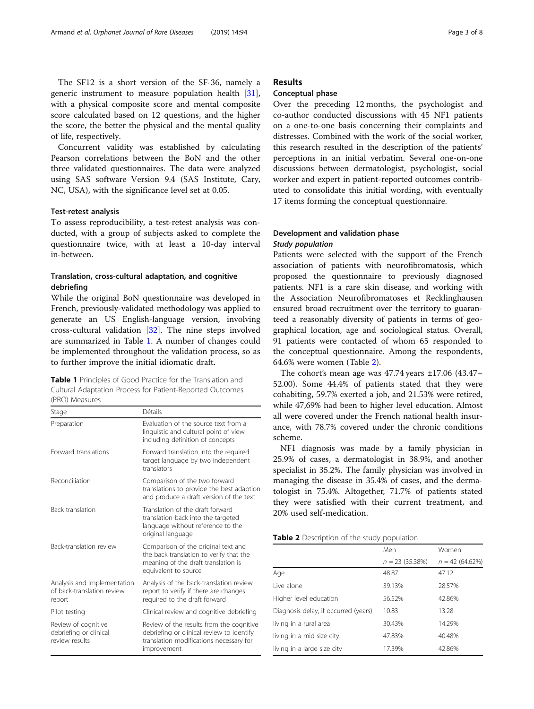The SF12 is a short version of the SF-36, namely a generic instrument to measure population health [\[31](#page-7-0)], with a physical composite score and mental composite score calculated based on 12 questions, and the higher the score, the better the physical and the mental quality of life, respectively.

Concurrent validity was established by calculating Pearson correlations between the BoN and the other three validated questionnaires. The data were analyzed using SAS software Version 9.4 (SAS Institute, Cary, NC, USA), with the significance level set at 0.05.

# Test-retest analysis

To assess reproducibility, a test-retest analysis was conducted, with a group of subjects asked to complete the questionnaire twice, with at least a 10-day interval in-between.

# Translation, cross-cultural adaptation, and cognitive debriefing

While the original BoN questionnaire was developed in French, previously-validated methodology was applied to generate an US English-language version, involving cross-cultural validation [[32\]](#page-7-0). The nine steps involved are summarized in Table 1. A number of changes could be implemented throughout the validation process, so as to further improve the initial idiomatic draft.

Table 1 Principles of Good Practice for the Translation and Cultural Adaptation Process for Patient-Reported Outcomes (PRO) Measures

| Stage                                                               | Détails                                                                                                                                         |
|---------------------------------------------------------------------|-------------------------------------------------------------------------------------------------------------------------------------------------|
| Preparation                                                         | Evaluation of the source text from a<br>linguistic and cultural point of view<br>including definition of concepts                               |
| Forward translations                                                | Forward translation into the required<br>target language by two independent<br>translators                                                      |
| Reconciliation                                                      | Comparison of the two forward<br>translations to provide the best adaption<br>and produce a draft version of the text                           |
| <b>Back translation</b>                                             | Translation of the draft forward<br>translation back into the targeted<br>language without reference to the<br>original language                |
| Back-translation review                                             | Comparison of the original text and<br>the back translation to verify that the<br>meaning of the draft translation is<br>equivalent to source   |
| Analysis and implementation<br>of back-translation review<br>report | Analysis of the back-translation review<br>report to verify if there are changes<br>required to the draft forward                               |
| Pilot testing                                                       | Clinical review and cognitive debriefing                                                                                                        |
| Review of cognitive<br>debriefing or clinical<br>review results     | Review of the results from the cognitive<br>debriefing or clinical review to identify<br>translation modifications necessary for<br>improvement |

# Results

# Conceptual phase

Over the preceding 12 months, the psychologist and co-author conducted discussions with 45 NF1 patients on a one-to-one basis concerning their complaints and distresses. Combined with the work of the social worker, this research resulted in the description of the patients' perceptions in an initial verbatim. Several one-on-one discussions between dermatologist, psychologist, social worker and expert in patient-reported outcomes contributed to consolidate this initial wording, with eventually 17 items forming the conceptual questionnaire.

# Development and validation phase Study population

Patients were selected with the support of the French association of patients with neurofibromatosis, which proposed the questionnaire to previously diagnosed patients. NF1 is a rare skin disease, and working with the Association Neurofibromatoses et Recklinghausen ensured broad recruitment over the territory to guaranteed a reasonably diversity of patients in terms of geographical location, age and sociological status. Overall, 91 patients were contacted of whom 65 responded to the conceptual questionnaire. Among the respondents, 64.6% were women (Table 2).

The cohort's mean age was  $47.74$  years  $\pm 17.06$  (43.47– 52.00). Some 44.4% of patients stated that they were cohabiting, 59.7% exerted a job, and 21.53% were retired, while 47,69% had been to higher level education. Almost all were covered under the French national health insurance, with 78.7% covered under the chronic conditions scheme.

NF1 diagnosis was made by a family physician in 25.9% of cases, a dermatologist in 38.9%, and another specialist in 35.2%. The family physician was involved in managing the disease in 35.4% of cases, and the dermatologist in 75.4%. Altogether, 71.7% of patients stated they were satisfied with their current treatment, and 20% used self-medication.

|  | Table 2 Description of the study population |  |  |  |  |
|--|---------------------------------------------|--|--|--|--|
|--|---------------------------------------------|--|--|--|--|

|                                      | Men               | Women             |
|--------------------------------------|-------------------|-------------------|
|                                      | $n = 23$ (35.38%) | $n = 42(64.62\%)$ |
| Age                                  | 48.87             | 47.12             |
| Live alone                           | 39.13%            | 28.57%            |
| Higher level education               | 56.52%            | 42.86%            |
| Diagnosis delay, if occurred (years) | 10.83             | 13.28             |
| living in a rural area               | 30.43%            | 14.29%            |
| living in a mid size city            | 47.83%            | 40.48%            |
| living in a large size city          | 17.39%            | 42.86%            |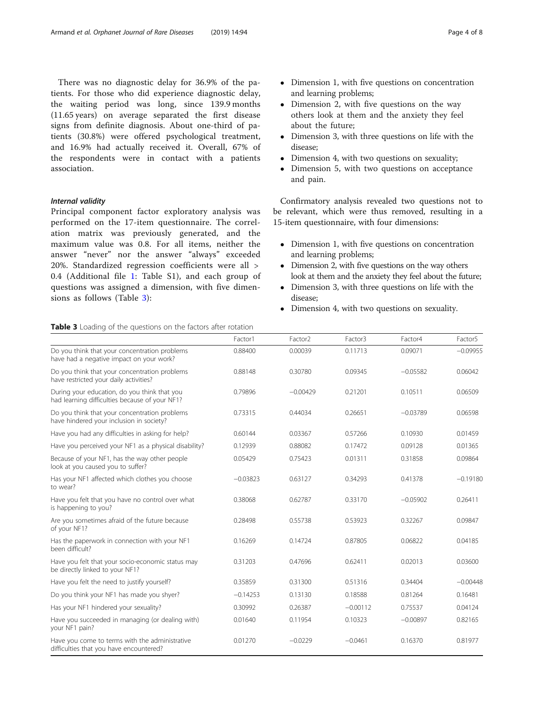There was no diagnostic delay for 36.9% of the patients. For those who did experience diagnostic delay, the waiting period was long, since 139.9 months (11.65 years) on average separated the first disease signs from definite diagnosis. About one-third of patients (30.8%) were offered psychological treatment, and 16.9% had actually received it. Overall, 67% of the respondents were in contact with a patients association.

# Internal validity

Principal component factor exploratory analysis was performed on the 17-item questionnaire. The correlation matrix was previously generated, and the maximum value was 0.8. For all items, neither the answer "never" nor the answer "always" exceeded 20%. Standardized regression coefficients were all > 0.4 (Additional file [1:](#page-6-0) Table S1), and each group of questions was assigned a dimension, with five dimensions as follows (Table 3):

Table 3 Loading of the questions on the factors after rotation

- Dimension 1, with five questions on concentration and learning problems;
- Dimension 2, with five questions on the way others look at them and the anxiety they feel about the future;
- Dimension 3, with three questions on life with the disease;
- Dimension 4, with two questions on sexuality;
- Dimension 5, with two questions on acceptance and pain.

Confirmatory analysis revealed two questions not to be relevant, which were thus removed, resulting in a 15-item questionnaire, with four dimensions:

- Dimension 1, with five questions on concentration and learning problems;
- Dimension 2, with five questions on the way others look at them and the anxiety they feel about the future;
- Dimension 3, with three questions on life with the disease;
- Dimension 4, with two questions on sexuality.

|                                                                                                | Factor1    | Factor <sub>2</sub> | Factor3    | Factor4    | Factor5    |
|------------------------------------------------------------------------------------------------|------------|---------------------|------------|------------|------------|
| Do you think that your concentration problems<br>have had a negative impact on your work?      | 0.88400    | 0.00039             | 0.11713    | 0.09071    | $-0.09955$ |
| Do you think that your concentration problems<br>have restricted your daily activities?        | 0.88148    | 0.30780             | 0.09345    | $-0.05582$ | 0.06042    |
| During your education, do you think that you<br>had learning difficulties because of your NF1? | 0.79896    | $-0.00429$          | 0.21201    | 0.10511    | 0.06509    |
| Do you think that your concentration problems<br>have hindered your inclusion in society?      | 0.73315    | 0.44034             | 0.26651    | $-0.03789$ | 0.06598    |
| Have you had any difficulties in asking for help?                                              | 0.60144    | 0.03367             | 0.57266    | 0.10930    | 0.01459    |
| Have you perceived your NF1 as a physical disability?                                          | 0.12939    | 0.88082             | 0.17472    | 0.09128    | 0.01365    |
| Because of your NF1, has the way other people<br>look at you caused you to suffer?             | 0.05429    | 0.75423             | 0.01311    | 0.31858    | 0.09864    |
| Has your NF1 affected which clothes you choose<br>to wear?                                     | $-0.03823$ | 0.63127             | 0.34293    | 0.41378    | $-0.19180$ |
| Have you felt that you have no control over what<br>is happening to you?                       | 0.38068    | 0.62787             | 0.33170    | $-0.05902$ | 0.26411    |
| Are you sometimes afraid of the future because<br>of your NF1?                                 | 0.28498    | 0.55738             | 0.53923    | 0.32267    | 0.09847    |
| Has the paperwork in connection with your NF1<br>been difficult?                               | 0.16269    | 0.14724             | 0.87805    | 0.06822    | 0.04185    |
| Have you felt that your socio-economic status may<br>be directly linked to your NF1?           | 0.31203    | 0.47696             | 0.62411    | 0.02013    | 0.03600    |
| Have you felt the need to justify yourself?                                                    | 0.35859    | 0.31300             | 0.51316    | 0.34404    | $-0.00448$ |
| Do you think your NF1 has made you shyer?                                                      | $-0.14253$ | 0.13130             | 0.18588    | 0.81264    | 0.16481    |
| Has your NF1 hindered your sexuality?                                                          | 0.30992    | 0.26387             | $-0.00112$ | 0.75537    | 0.04124    |
| Have you succeeded in managing (or dealing with)<br>your NF1 pain?                             | 0.01640    | 0.11954             | 0.10323    | $-0.00897$ | 0.82165    |
| Have you come to terms with the administrative<br>difficulties that you have encountered?      | 0.01270    | $-0.0229$           | $-0.0461$  | 0.16370    | 0.81977    |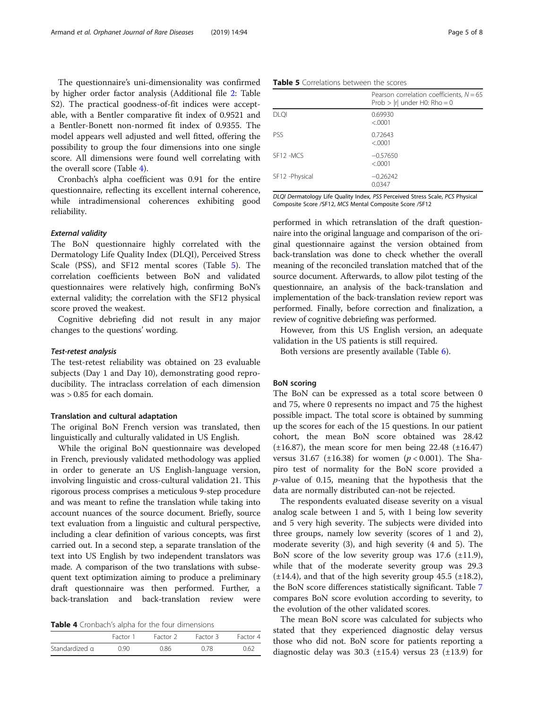The questionnaire's uni-dimensionality was confirmed by higher order factor analysis (Additional file [2](#page-6-0): Table S2). The practical goodness-of-fit indices were acceptable, with a Bentler comparative fit index of 0.9521 and a Bentler-Bonett non-normed fit index of 0.9355. The model appears well adjusted and well fitted, offering the possibility to group the four dimensions into one single score. All dimensions were found well correlating with the overall score (Table 4).

Cronbach's alpha coefficient was 0.91 for the entire questionnaire, reflecting its excellent internal coherence, while intradimensional coherences exhibiting good reliability.

#### External validity

The BoN questionnaire highly correlated with the Dermatology Life Quality Index (DLQI), Perceived Stress Scale (PSS), and SF12 mental scores (Table 5). The correlation coefficients between BoN and validated questionnaires were relatively high, confirming BoN's external validity; the correlation with the SF12 physical score proved the weakest.

Cognitive debriefing did not result in any major changes to the questions' wording.

### Test-retest analysis

The test-retest reliability was obtained on 23 evaluable subjects (Day 1 and Day 10), demonstrating good reproducibility. The intraclass correlation of each dimension was > 0.85 for each domain.

# Translation and cultural adaptation

The original BoN French version was translated, then linguistically and culturally validated in US English.

While the original BoN questionnaire was developed in French, previously validated methodology was applied in order to generate an US English-language version, involving linguistic and cross-cultural validation 21. This rigorous process comprises a meticulous 9-step procedure and was meant to refine the translation while taking into account nuances of the source document. Briefly, source text evaluation from a linguistic and cultural perspective, including a clear definition of various concepts, was first carried out. In a second step, a separate translation of the text into US English by two independent translators was made. A comparison of the two translations with subsequent text optimization aiming to produce a preliminary draft questionnaire was then performed. Further, a back-translation and back-translation review were

Table 4 Cronbach's alpha for the four dimensions

|                | Factor 1 | Factor 2 | Factor 3 | Factor 4 |
|----------------|----------|----------|----------|----------|
| Standardized a | 0.90     | 0.86     | 0.78     | 0.62     |

| <b>Table 5</b> Correlations between the scores |  |  |  |
|------------------------------------------------|--|--|--|
|------------------------------------------------|--|--|--|

|                 | Pearson correlation coefficients, $N = 65$<br>Prob > $ r $ under H0: Rho = 0 |
|-----------------|------------------------------------------------------------------------------|
| <b>DLQI</b>     | 0.69930<br>< .0001                                                           |
| <b>PSS</b>      | 0.72643<br>< 0001                                                            |
| SE12-MCS        | $-0.57650$<br>< 0001                                                         |
| SF12 - Physical | $-0.26242$<br>0.0347                                                         |

DLQI Dermatology Life Quality Index, PSS Perceived Stress Scale, PCS Physical Composite Score /SF12, MCS Mental Composite Score /SF12

performed in which retranslation of the draft questionnaire into the original language and comparison of the original questionnaire against the version obtained from back-translation was done to check whether the overall meaning of the reconciled translation matched that of the source document. Afterwards, to allow pilot testing of the questionnaire, an analysis of the back-translation and implementation of the back-translation review report was performed. Finally, before correction and finalization, a review of cognitive debriefing was performed.

However, from this US English version, an adequate validation in the US patients is still required.

Both versions are presently available (Table [6](#page-5-0)).

# BoN scoring

The BoN can be expressed as a total score between 0 and 75, where 0 represents no impact and 75 the highest possible impact. The total score is obtained by summing up the scores for each of the 15 questions. In our patient cohort, the mean BoN score obtained was 28.42  $(\pm 16.87)$ , the mean score for men being 22.48  $(\pm 16.47)$ versus 31.67 (±16.38) for women ( $p < 0.001$ ). The Shapiro test of normality for the BoN score provided a  $p$ -value of 0.15, meaning that the hypothesis that the data are normally distributed can-not be rejected.

The respondents evaluated disease severity on a visual analog scale between 1 and 5, with 1 being low severity and 5 very high severity. The subjects were divided into three groups, namely low severity (scores of 1 and 2), moderate severity (3), and high severity (4 and 5). The BoN score of the low severity group was  $17.6$  ( $\pm$ 11.9), while that of the moderate severity group was 29.3  $(\pm 14.4)$ , and that of the high severity group 45.5 ( $\pm 18.2$ ), the BoN score differences statistically significant. Table [7](#page-5-0) compares BoN score evolution according to severity, to the evolution of the other validated scores.

The mean BoN score was calculated for subjects who stated that they experienced diagnostic delay versus those who did not. BoN score for patients reporting a diagnostic delay was  $30.3$  ( $\pm 15.4$ ) versus  $23$  ( $\pm 13.9$ ) for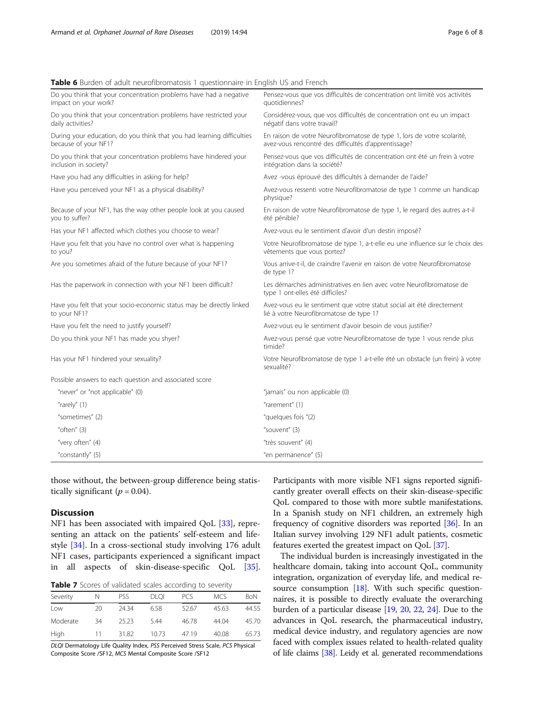# <span id="page-5-0"></span>Table 6 Burden of adult neurofibromatosis 1 questionnaire in English US and French

| Do you think that your concentration problems have had a negative<br>impact on your work?      | Pensez-vous que vos difficultés de concentration ont limité vos activités<br>quotidiennes?                                      |
|------------------------------------------------------------------------------------------------|---------------------------------------------------------------------------------------------------------------------------------|
| Do you think that your concentration problems have restricted your<br>daily activities?        | Considérez-vous, que vos difficultés de concentration ont eu un impact<br>négatif dans votre travail?                           |
| During your education, do you think that you had learning difficulties<br>because of your NF1? | En raison de votre Neurofibromatose de type 1, lors de votre scolarité,<br>avez-vous rencontré des difficultés d'apprentissage? |
| Do you think that your concentration problems have hindered your<br>inclusion in society?      | Pensez-vous que vos difficultés de concentration ont été un frein à votre<br>intégration dans la société?                       |
| Have you had any difficulties in asking for help?                                              | Avez - vous éprouvé des difficultés à demander de l'aide?                                                                       |
| Have you perceived your NF1 as a physical disability?                                          | Avez-vous ressenti votre Neurofibromatose de type 1 comme un handicap<br>physique?                                              |
| Because of your NF1, has the way other people look at you caused<br>you to suffer?             | En raison de votre Neurofibromatose de type 1, le regard des autres a-t-il<br>été pénible?                                      |
| Has your NF1 affected which clothes you choose to wear?                                        | Avez-vous eu le sentiment d'avoir d'un destin imposé?                                                                           |
| Have you felt that you have no control over what is happening<br>to you?                       | Votre Neurofibromatose de type 1, a-t-elle eu une influence sur le choix des<br>vêtements que vous portez?                      |
| Are you sometimes afraid of the future because of your NF1?                                    | Vous arrive-t-il, de craindre l'avenir en raison de votre Neurofibromatose<br>de type 1?                                        |
| Has the paperwork in connection with your NF1 been difficult?                                  | Les démarches administratives en lien avec votre Neurofibromatose de<br>type 1 ont-elles été difficiles?                        |
| Have you felt that your socio-economic status may be directly linked<br>to your NF1?           | Avez-vous eu le sentiment que votre statut social ait été directement<br>lié à votre Neurofibromatose de type 1?                |
| Have you felt the need to justify yourself?                                                    | Avez-vous eu le sentiment d'avoir besoin de vous justifier?                                                                     |
| Do you think your NF1 has made you shyer?                                                      | Avez-vous pensé que votre Neurofibromatose de type 1 vous rende plus<br>timide?                                                 |
| Has your NF1 hindered your sexuality?                                                          | Votre Neurofibromatose de type 1 a-t-elle été un obstacle (un frein) à votre<br>sexualité?                                      |
| Possible answers to each question and associated score                                         |                                                                                                                                 |
| "never" or "not applicable" (0)                                                                | "jamais" ou non applicable (0)                                                                                                  |
| "rarely" $(1)$                                                                                 | "rarement" (1)                                                                                                                  |
| "sometimes" (2)                                                                                | "quelques fois "(2)                                                                                                             |
| "often" (3)                                                                                    | "souvent" (3)                                                                                                                   |
| "very often" (4)                                                                               | "très souvent" (4)                                                                                                              |
| "constantly" (5)                                                                               | "en permanence" (5)                                                                                                             |

those without, the between-group difference being statistically significant ( $p = 0.04$ ).

# **Discussion**

NF1 has been associated with impaired QoL [\[33\]](#page-7-0), representing an attack on the patients' self-esteem and lifestyle [[34\]](#page-7-0). In a cross-sectional study involving 176 adult NF1 cases, participants experienced a significant impact in all aspects of skin-disease-specific QoL [\[35](#page-7-0)].

Table 7 Scores of validated scales according to severity

| Severity | N  | PSS.  | <b>DLOI</b> | <b>PCS</b> | <b>MCS</b> | BoN   |
|----------|----|-------|-------------|------------|------------|-------|
| Low      | 20 | 24.34 | 6.58        | 52.67      | 45.63      | 44.55 |
| Moderate | 34 | 25.23 | 5.44        | 46.78      | 44.04      | 45.70 |
| High     | 11 | 31.82 | 10.73       | 47.19      | 40.08      | 65.73 |

DLQI Dermatology Life Quality Index, PSS Perceived Stress Scale, PCS Physical Composite Score /SF12, MCS Mental Composite Score /SF12

Participants with more visible NF1 signs reported significantly greater overall effects on their skin-disease-specific QoL compared to those with more subtle manifestations. In a Spanish study on NF1 children, an extremely high frequency of cognitive disorders was reported [\[36\]](#page-7-0). In an Italian survey involving 129 NF1 adult patients, cosmetic features exerted the greatest impact on QoL [\[37](#page-7-0)].

The individual burden is increasingly investigated in the healthcare domain, taking into account QoL, community integration, organization of everyday life, and medical resource consumption  $[18]$ . With such specific questionnaires, it is possible to directly evaluate the overarching burden of a particular disease [\[19](#page-7-0), [20](#page-7-0), [22](#page-7-0), [24](#page-7-0)]. Due to the advances in QoL research, the pharmaceutical industry, medical device industry, and regulatory agencies are now faced with complex issues related to health-related quality of life claims [[38](#page-7-0)]. Leidy et al. generated recommendations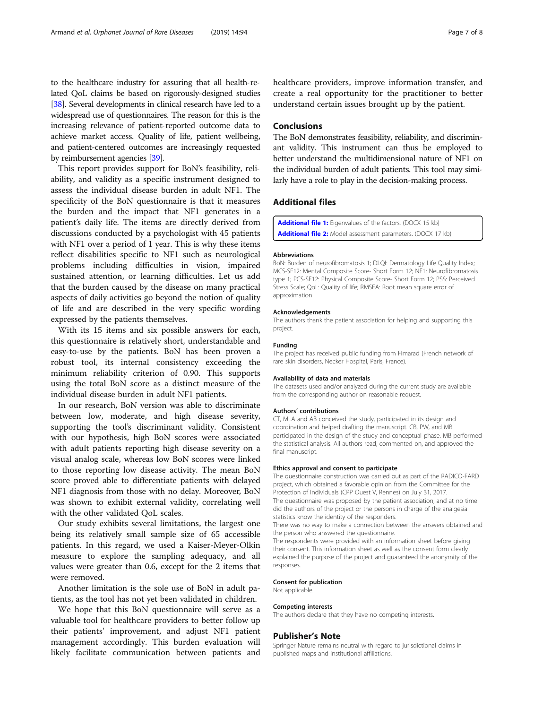<span id="page-6-0"></span>to the healthcare industry for assuring that all health-related QoL claims be based on rigorously-designed studies [[38](#page-7-0)]. Several developments in clinical research have led to a widespread use of questionnaires. The reason for this is the increasing relevance of patient-reported outcome data to achieve market access. Quality of life, patient wellbeing, and patient-centered outcomes are increasingly requested by reimbursement agencies [\[39\]](#page-7-0).

This report provides support for BoN's feasibility, reliability, and validity as a specific instrument designed to assess the individual disease burden in adult NF1. The specificity of the BoN questionnaire is that it measures the burden and the impact that NF1 generates in a patient's daily life. The items are directly derived from discussions conducted by a psychologist with 45 patients with NF1 over a period of 1 year. This is why these items reflect disabilities specific to NF1 such as neurological problems including difficulties in vision, impaired sustained attention, or learning difficulties. Let us add that the burden caused by the disease on many practical aspects of daily activities go beyond the notion of quality of life and are described in the very specific wording expressed by the patients themselves.

With its 15 items and six possible answers for each, this questionnaire is relatively short, understandable and easy-to-use by the patients. BoN has been proven a robust tool, its internal consistency exceeding the minimum reliability criterion of 0.90. This supports using the total BoN score as a distinct measure of the individual disease burden in adult NF1 patients.

In our research, BoN version was able to discriminate between low, moderate, and high disease severity, supporting the tool's discriminant validity. Consistent with our hypothesis, high BoN scores were associated with adult patients reporting high disease severity on a visual analog scale, whereas low BoN scores were linked to those reporting low disease activity. The mean BoN score proved able to differentiate patients with delayed NF1 diagnosis from those with no delay. Moreover, BoN was shown to exhibit external validity, correlating well with the other validated QoL scales.

Our study exhibits several limitations, the largest one being its relatively small sample size of 65 accessible patients. In this regard, we used a Kaiser-Meyer-Olkin measure to explore the sampling adequacy, and all values were greater than 0.6, except for the 2 items that were removed.

Another limitation is the sole use of BoN in adult patients, as the tool has not yet been validated in children.

We hope that this BoN questionnaire will serve as a valuable tool for healthcare providers to better follow up their patients' improvement, and adjust NF1 patient management accordingly. This burden evaluation will likely facilitate communication between patients and healthcare providers, improve information transfer, and create a real opportunity for the practitioner to better understand certain issues brought up by the patient.

# Conclusions

The BoN demonstrates feasibility, reliability, and discriminant validity. This instrument can thus be employed to better understand the multidimensional nature of NF1 on the individual burden of adult patients. This tool may similarly have a role to play in the decision-making process.

# Additional files

[Additional file 1:](https://doi.org/10.1186/s13023-019-1067-8) Eigenvalues of the factors. (DOCX 15 kb) [Additional file 2:](https://doi.org/10.1186/s13023-019-1067-8) Model assessment parameters. (DOCX 17 kb)

#### Abbreviations

BoN: Burden of neurofibromatosis 1; DLQI: Dermatology Life Quality Index; MCS-SF12: Mental Composite Score- Short Form 12; NF1: Neurofibromatosis type 1; PCS-SF12: Physical Composite Score- Short Form 12; PSS: Perceived Stress Scale; QoL: Quality of life; RMSEA: Root mean square error of approximation

#### Acknowledgements

The authors thank the patient association for helping and supporting this project.

#### Funding

The project has received public funding from Fimarad (French network of rare skin disorders, Necker Hospital, Paris, France).

#### Availability of data and materials

The datasets used and/or analyzed during the current study are available from the corresponding author on reasonable request.

#### Authors' contributions

CT, MLA and AB conceived the study, participated in its design and coordination and helped drafting the manuscript. CB, PW, and MB participated in the design of the study and conceptual phase. MB performed the statistical analysis. All authors read, commented on, and approved the final manuscript.

#### Ethics approval and consent to participate

The questionnaire construction was carried out as part of the RADICO-FARD project, which obtained a favorable opinion from the Committee for the Protection of Individuals (CPP Ouest V, Rennes) on July 31, 2017. The questionnaire was proposed by the patient association, and at no time did the authors of the project or the persons in charge of the analgesia statistics know the identity of the responders.

There was no way to make a connection between the answers obtained and the person who answered the questionnaire.

The respondents were provided with an information sheet before giving their consent. This information sheet as well as the consent form clearly explained the purpose of the project and guaranteed the anonymity of the responses.

#### Consent for publication

Not applicable.

#### Competing interests

The authors declare that they have no competing interests.

# Publisher's Note

Springer Nature remains neutral with regard to jurisdictional claims in published maps and institutional affiliations.